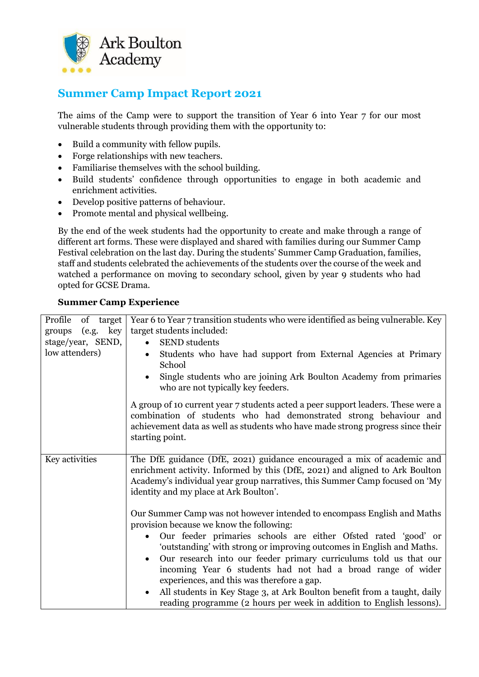

# **Summer Camp Impact Report 2021**

The aims of the Camp were to support the transition of Year 6 into Year 7 for our most vulnerable students through providing them with the opportunity to:

- Build a community with fellow pupils.
- Forge relationships with new teachers.
- Familiarise themselves with the school building.
- Build students' confidence through opportunities to engage in both academic and enrichment activities.
- Develop positive patterns of behaviour.
- Promote mental and physical wellbeing.

By the end of the week students had the opportunity to create and make through a range of different art forms. These were displayed and shared with families during our Summer Camp Festival celebration on the last day. During the students' Summer Camp Graduation, families, staff and students celebrated the achievements of the students over the course of the week and watched a performance on moving to secondary school, given by year 9 students who had opted for GCSE Drama.

# **Summer Camp Experience**

| Profile<br>of target<br>(e.g. key<br>groups<br>stage/year, SEND,<br>low attenders) | Year 6 to Year 7 transition students who were identified as being vulnerable. Key<br>target students included:<br><b>SEND</b> students<br>$\bullet$<br>Students who have had support from External Agencies at Primary<br>School<br>Single students who are joining Ark Boulton Academy from primaries<br>who are not typically key feeders.<br>A group of 10 current year 7 students acted a peer support leaders. These were a                                                                                                                                                                                  |  |  |  |
|------------------------------------------------------------------------------------|-------------------------------------------------------------------------------------------------------------------------------------------------------------------------------------------------------------------------------------------------------------------------------------------------------------------------------------------------------------------------------------------------------------------------------------------------------------------------------------------------------------------------------------------------------------------------------------------------------------------|--|--|--|
|                                                                                    | combination of students who had demonstrated strong behaviour and<br>achievement data as well as students who have made strong progress since their<br>starting point.                                                                                                                                                                                                                                                                                                                                                                                                                                            |  |  |  |
| Key activities                                                                     | The DfE guidance (DfE, 2021) guidance encouraged a mix of academic and<br>enrichment activity. Informed by this (DfE, 2021) and aligned to Ark Boulton<br>Academy's individual year group narratives, this Summer Camp focused on 'My<br>identity and my place at Ark Boulton'.                                                                                                                                                                                                                                                                                                                                   |  |  |  |
|                                                                                    | Our Summer Camp was not however intended to encompass English and Maths<br>provision because we know the following:<br>Our feeder primaries schools are either Ofsted rated 'good' or<br>'outstanding' with strong or improving outcomes in English and Maths.<br>Our research into our feeder primary curriculums told us that our<br>$\bullet$<br>incoming Year 6 students had not had a broad range of wider<br>experiences, and this was therefore a gap.<br>All students in Key Stage 3, at Ark Boulton benefit from a taught, daily<br>reading programme (2 hours per week in addition to English lessons). |  |  |  |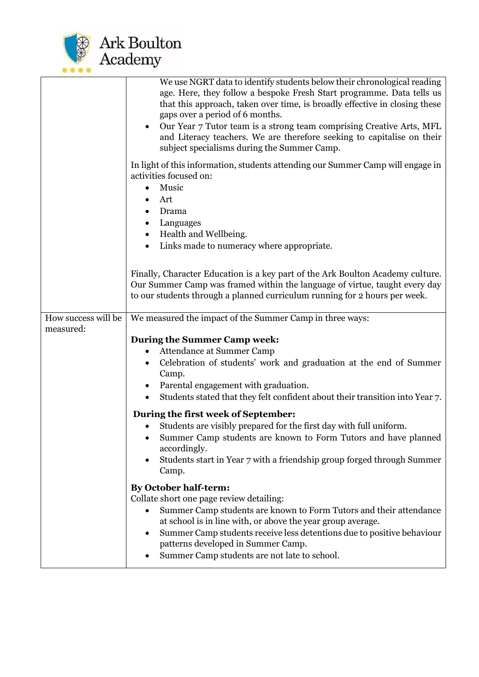

|                     | We use NGRT data to identify students below their chronological reading<br>age. Here, they follow a bespoke Fresh Start programme. Data tells us<br>that this approach, taken over time, is broadly effective in closing these<br>gaps over a period of 6 months.<br>Our Year 7 Tutor team is a strong team comprising Creative Arts, MFL<br>٠<br>and Literacy teachers. We are therefore seeking to capitalise on their<br>subject specialisms during the Summer Camp.<br>In light of this information, students attending our Summer Camp will engage in<br>activities focused on:<br>Music<br>Art<br>Drama<br>$\bullet$<br>Languages<br>• Health and Wellbeing.<br>• Links made to numeracy where appropriate. |
|---------------------|-------------------------------------------------------------------------------------------------------------------------------------------------------------------------------------------------------------------------------------------------------------------------------------------------------------------------------------------------------------------------------------------------------------------------------------------------------------------------------------------------------------------------------------------------------------------------------------------------------------------------------------------------------------------------------------------------------------------|
|                     | Finally, Character Education is a key part of the Ark Boulton Academy culture.<br>Our Summer Camp was framed within the language of virtue, taught every day<br>to our students through a planned curriculum running for 2 hours per week.                                                                                                                                                                                                                                                                                                                                                                                                                                                                        |
| How success will be | We measured the impact of the Summer Camp in three ways:                                                                                                                                                                                                                                                                                                                                                                                                                                                                                                                                                                                                                                                          |
| measured:           | <b>During the Summer Camp week:</b>                                                                                                                                                                                                                                                                                                                                                                                                                                                                                                                                                                                                                                                                               |
|                     | Attendance at Summer Camp                                                                                                                                                                                                                                                                                                                                                                                                                                                                                                                                                                                                                                                                                         |
|                     | Celebration of students' work and graduation at the end of Summer<br>Camp.                                                                                                                                                                                                                                                                                                                                                                                                                                                                                                                                                                                                                                        |
|                     | Parental engagement with graduation.                                                                                                                                                                                                                                                                                                                                                                                                                                                                                                                                                                                                                                                                              |
|                     | Students stated that they felt confident about their transition into Year 7.<br>$\bullet$                                                                                                                                                                                                                                                                                                                                                                                                                                                                                                                                                                                                                         |
|                     | During the first week of September:                                                                                                                                                                                                                                                                                                                                                                                                                                                                                                                                                                                                                                                                               |
|                     | Students are visibly prepared for the first day with full uniform.<br>٠                                                                                                                                                                                                                                                                                                                                                                                                                                                                                                                                                                                                                                           |
|                     | Summer Camp students are known to Form Tutors and have planned<br>accordingly.                                                                                                                                                                                                                                                                                                                                                                                                                                                                                                                                                                                                                                    |
|                     | Students start in Year 7 with a friendship group forged through Summer<br>٠<br>Camp.                                                                                                                                                                                                                                                                                                                                                                                                                                                                                                                                                                                                                              |
|                     |                                                                                                                                                                                                                                                                                                                                                                                                                                                                                                                                                                                                                                                                                                                   |
|                     | <b>By October half-term:</b><br>Collate short one page review detailing:                                                                                                                                                                                                                                                                                                                                                                                                                                                                                                                                                                                                                                          |
|                     | Summer Camp students are known to Form Tutors and their attendance<br>at school is in line with, or above the year group average.                                                                                                                                                                                                                                                                                                                                                                                                                                                                                                                                                                                 |
|                     | Summer Camp students receive less detentions due to positive behaviour<br>$\bullet$<br>patterns developed in Summer Camp.                                                                                                                                                                                                                                                                                                                                                                                                                                                                                                                                                                                         |
|                     | Summer Camp students are not late to school.                                                                                                                                                                                                                                                                                                                                                                                                                                                                                                                                                                                                                                                                      |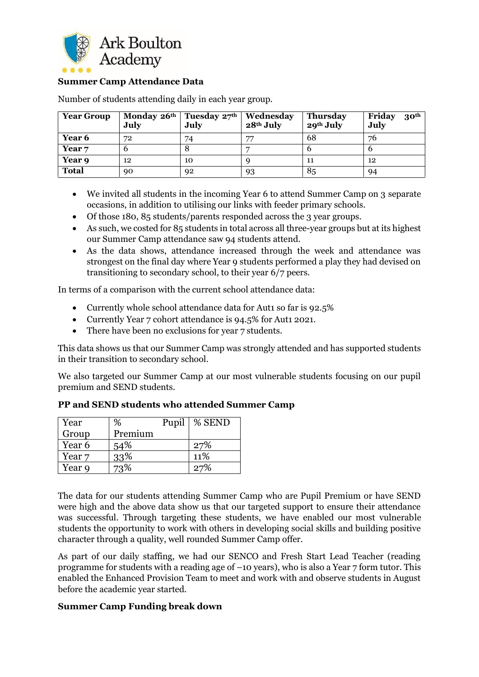

# **Summer Camp Attendance Data**

| <b>Year Group</b> | Monday 26 <sup>th</sup><br>July | Tuesday $27th$<br>July | Wednesday<br>$28th$ July | <b>Thursday</b><br>$29th$ July | Friday<br>30 <sup>th</sup><br>July |
|-------------------|---------------------------------|------------------------|--------------------------|--------------------------------|------------------------------------|
| Year 6            | 72                              | 74                     | $\overline{ }$           | 68                             | 76                                 |
| Year <sub>7</sub> |                                 | О                      |                          |                                | o                                  |
| Year 9            | 12                              | 10                     |                          | 11                             | 12                                 |
| <b>Total</b>      | 90                              | 92                     | 93                       | 85                             | 94                                 |

Number of students attending daily in each year group.

- We invited all students in the incoming Year 6 to attend Summer Camp on 3 separate occasions, in addition to utilising our links with feeder primary schools.
- Of those 180, 85 students/parents responded across the 3 year groups.
- As such, we costed for 85 students in total across all three-year groups but at its highest our Summer Camp attendance saw 94 students attend.
- As the data shows, attendance increased through the week and attendance was strongest on the final day where Year 9 students performed a play they had devised on transitioning to secondary school, to their year 6/7 peers.

In terms of a comparison with the current school attendance data:

- Currently whole school attendance data for Aut1 so far is 92.5%
- Currently Year 7 cohort attendance is 94.5% for Aut1 2021.
- There have been no exclusions for year 7 students.

This data shows us that our Summer Camp was strongly attended and has supported students in their transition to secondary school.

We also targeted our Summer Camp at our most vulnerable students focusing on our pupil premium and SEND students.

| Year   | %       | Pupil   % SEND |
|--------|---------|----------------|
| Group  | Premium |                |
| Year 6 | 54%     | 27%            |
| Year 7 | 33%     | 11%            |
| Year 9 | 73%     | 27%            |

**PP and SEND students who attended Summer Camp**

The data for our students attending Summer Camp who are Pupil Premium or have SEND were high and the above data show us that our targeted support to ensure their attendance was successful. Through targeting these students, we have enabled our most vulnerable students the opportunity to work with others in developing social skills and building positive character through a quality, well rounded Summer Camp offer.

As part of our daily staffing, we had our SENCO and Fresh Start Lead Teacher (reading programme for students with a reading age of –10 years), who is also a Year 7 form tutor. This enabled the Enhanced Provision Team to meet and work with and observe students in August before the academic year started.

#### **Summer Camp Funding break down**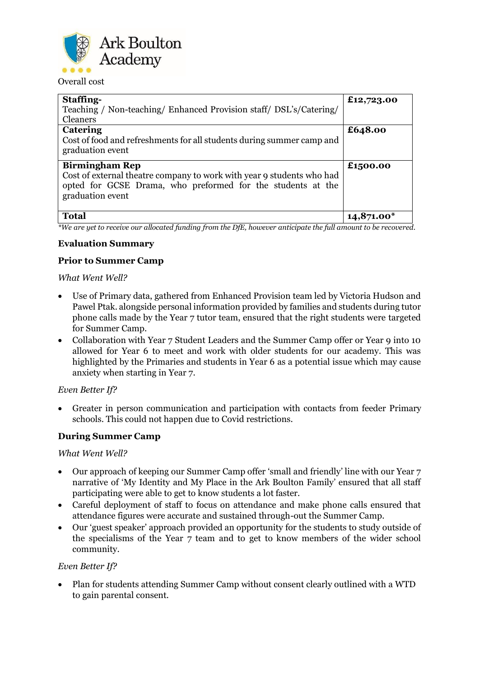

Overall cost

| Staffing-<br>Teaching / Non-teaching/ Enhanced Provision staff/ DSL's/Catering/<br>Cleaners                                                                                       | £12,723.00   |
|-----------------------------------------------------------------------------------------------------------------------------------------------------------------------------------|--------------|
| <b>Catering</b><br>Cost of food and refreshments for all students during summer camp and<br>graduation event                                                                      | £648.00      |
| <b>Birmingham Rep</b><br>Cost of external theatre company to work with year 9 students who had<br>opted for GCSE Drama, who preformed for the students at the<br>graduation event | £1500.00     |
| <b>Total</b><br>$-1$<br>$\sim$ $\sim$ $\sim$<br>$   -$<br>$\ddot{\phantom{1}}$<br>$\sim$ $\sim$ $\sim$                                                                            | $14,871.00*$ |

*\*We are yet to receive our allocated funding from the DfE, however anticipate the full amount to be recovered.*

# **Evaluation Summary**

# **Prior to Summer Camp**

#### *What Went Well?*

- Use of Primary data, gathered from Enhanced Provision team led by Victoria Hudson and Pawel Ptak. alongside personal information provided by families and students during tutor phone calls made by the Year 7 tutor team, ensured that the right students were targeted for Summer Camp.
- Collaboration with Year 7 Student Leaders and the Summer Camp offer or Year 9 into 10 allowed for Year 6 to meet and work with older students for our academy. This was highlighted by the Primaries and students in Year 6 as a potential issue which may cause anxiety when starting in Year 7.

#### *Even Better If?*

• Greater in person communication and participation with contacts from feeder Primary schools. This could not happen due to Covid restrictions.

#### **During Summer Camp**

*What Went Well?*

- Our approach of keeping our Summer Camp offer 'small and friendly' line with our Year 7 narrative of 'My Identity and My Place in the Ark Boulton Family' ensured that all staff participating were able to get to know students a lot faster.
- Careful deployment of staff to focus on attendance and make phone calls ensured that attendance figures were accurate and sustained through-out the Summer Camp.
- Our 'guest speaker' approach provided an opportunity for the students to study outside of the specialisms of the Year 7 team and to get to know members of the wider school community.

#### *Even Better If?*

• Plan for students attending Summer Camp without consent clearly outlined with a WTD to gain parental consent.